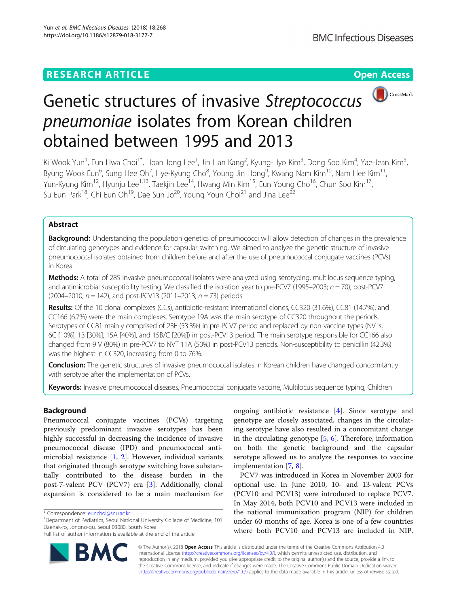

# Genetic structures of invasive Streptococcus pneumoniae isolates from Korean children obtained between 1995 and 2013

Ki Wook Yun<sup>1</sup>, Eun Hwa Choi<sup>1\*</sup>, Hoan Jong Lee<sup>1</sup>, Jin Han Kang<sup>2</sup>, Kyung-Hyo Kim<sup>3</sup>, Dong Soo Kim<sup>4</sup>, Yae-Jean Kim<sup>5</sup> , Byung Wook Eun<sup>6</sup>, Sung Hee Oh<sup>7</sup>, Hye-Kyung Cho<sup>8</sup>, Young Jin Hong<sup>9</sup>, Kwang Nam Kim<sup>10</sup>, Nam Hee Kim<sup>11</sup>, Yun-Kyung Kim<sup>12</sup>, Hyunju Lee<sup>1,13</sup>, Taekjin Lee<sup>14</sup>, Hwang Min Kim<sup>15</sup>, Eun Young Cho<sup>16</sup>, Chun Soo Kim<sup>17</sup>, Su Eun Park $^{18}$ , Chi Eun Oh $^{19}$ , Dae Sun Jo $^{20}$ , Young Youn Choi $^{21}$  and Jina Lee $^{22}$ 

# Abstract

Background: Understanding the population genetics of pneumococci will allow detection of changes in the prevalence of circulating genotypes and evidence for capsular switching. We aimed to analyze the genetic structure of invasive pneumococcal isolates obtained from children before and after the use of pneumococcal conjugate vaccines (PCVs) in Korea.

Methods: A total of 285 invasive pneumococcal isolates were analyzed using serotyping, multilocus sequence typing, and antimicrobial susceptibility testing. We classified the isolation year to pre-PCV7 (1995–2003;  $n = 70$ ), post-PCV7  $(2004–2010; n = 142)$ , and post-PCV13  $(2011–2013; n = 73)$  periods.

Results: Of the 10 clonal complexes (CCs), antibiotic-resistant international clones, CC320 (31.6%), CC81 (14.7%), and CC166 (6.7%) were the main complexes. Serotype 19A was the main serotype of CC320 throughout the periods. Serotypes of CC81 mainly comprised of 23F (53.3%) in pre-PCV7 period and replaced by non-vaccine types (NVTs; 6C [10%], 13 [30%], 15A [40%], and 15B/C [20%]) in post-PCV13 period. The main serotype responsible for CC166 also changed from 9 V (80%) in pre-PCV7 to NVT 11A (50%) in post-PCV13 periods. Non-susceptibility to penicillin (42.3%) was the highest in CC320, increasing from 0 to 76%.

Conclusion: The genetic structures of invasive pneumococcal isolates in Korean children have changed concomitantly with serotype after the implementation of PCVs.

Keywords: Invasive pneumococcal diseases, Pneumococcal conjugate vaccine, Multilocus sequence typing, Children

# Background

Pneumococcal conjugate vaccines (PCVs) targeting previously predominant invasive serotypes has been highly successful in decreasing the incidence of invasive pneumococcal disease (IPD) and pneumococcal antimicrobial resistance [[1](#page-9-0), [2\]](#page-9-0). However, individual variants that originated through serotype switching have substantially contributed to the disease burden in the post-7-valent PCV (PCV7) era [\[3](#page-9-0)]. Additionally, clonal expansion is considered to be a main mechanism for

Full list of author information is available at the end of the article



ongoing antibiotic resistance [\[4](#page-9-0)]. Since serotype and genotype are closely associated, changes in the circulating serotype have also resulted in a concomitant change in the circulating genotype  $[5, 6]$  $[5, 6]$  $[5, 6]$  $[5, 6]$ . Therefore, information on both the genetic background and the capsular serotype allowed us to analyze the responses to vaccine implementation [[7](#page-9-0), [8](#page-9-0)].

PCV7 was introduced in Korea in November 2003 for optional use. In June 2010, 10- and 13-valent PCVs (PCV10 and PCV13) were introduced to replace PCV7. In May 2014, both PCV10 and PCV13 were included in the national immunization program (NIP) for children under 60 months of age. Korea is one of a few countries where both PCV10 and PCV13 are included in NIP.

© The Author(s). 2018 Open Access This article is distributed under the terms of the Creative Commons Attribution 4.0 International License [\(http://creativecommons.org/licenses/by/4.0/](http://creativecommons.org/licenses/by/4.0/)), which permits unrestricted use, distribution, and reproduction in any medium, provided you give appropriate credit to the original author(s) and the source, provide a link to the Creative Commons license, and indicate if changes were made. The Creative Commons Public Domain Dedication waiver [\(http://creativecommons.org/publicdomain/zero/1.0/](http://creativecommons.org/publicdomain/zero/1.0/)) applies to the data made available in this article, unless otherwise stated.

<sup>\*</sup> Correspondence: [eunchoi@snu.ac.kr](mailto:eunchoi@snu.ac.kr) <sup>1</sup>

<sup>&</sup>lt;sup>1</sup>Department of Pediatrics, Seoul National University College of Medicine, 101 Daehak-ro, Jongno-gu, Seoul 03080, South Korea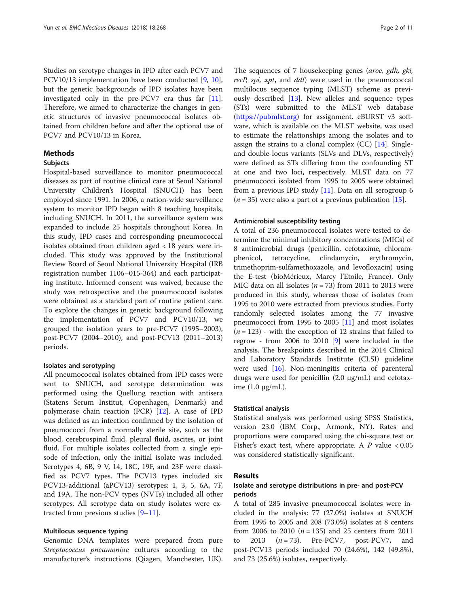Studies on serotype changes in IPD after each PCV7 and PCV10/13 implementation have been conducted [[9,](#page-9-0) [10](#page-9-0)], but the genetic backgrounds of IPD isolates have been investigated only in the pre-PCV7 era thus far [\[11](#page-9-0)]. Therefore, we aimed to characterize the changes in genetic structures of invasive pneumococcal isolates obtained from children before and after the optional use of PCV7 and PCV10/13 in Korea.

# Methods

# Subjects

Hospital-based surveillance to monitor pneumococcal diseases as part of routine clinical care at Seoul National University Children's Hospital (SNUCH) has been employed since 1991. In 2006, a nation-wide surveillance system to monitor IPD began with 8 teaching hospitals, including SNUCH. In 2011, the surveillance system was expanded to include 25 hospitals throughout Korea. In this study, IPD cases and corresponding pneumococcal isolates obtained from children aged < 18 years were included. This study was approved by the Institutional Review Board of Seoul National University Hospital (IRB registration number 1106–015-364) and each participating institute. Informed consent was waived, because the study was retrospective and the pneumococcal isolates were obtained as a standard part of routine patient care. To explore the changes in genetic background following the implementation of PCV7 and PCV10/13, we grouped the isolation years to pre-PCV7 (1995–2003), post-PCV7 (2004–2010), and post-PCV13 (2011–2013) periods.

# Isolates and serotyping

All pneumococcal isolates obtained from IPD cases were sent to SNUCH, and serotype determination was performed using the Quellung reaction with antisera (Statens Serum Institut, Copenhagen, Denmark) and polymerase chain reaction (PCR) [[12\]](#page-9-0). A case of IPD was defined as an infection confirmed by the isolation of pneumococci from a normally sterile site, such as the blood, cerebrospinal fluid, pleural fluid, ascites, or joint fluid. For multiple isolates collected from a single episode of infection, only the initial isolate was included. Serotypes 4, 6B, 9 V, 14, 18C, 19F, and 23F were classified as PCV7 types. The PCV13 types included six PCV13-additional (aPCV13) serotypes: 1, 3, 5, 6A, 7F, and 19A. The non-PCV types (NVTs) included all other serotypes. All serotype data on study isolates were extracted from previous studies [[9](#page-9-0)–[11](#page-9-0)].

# Multilocus sequence typing

Genomic DNA templates were prepared from pure Streptococcus pneumoniae cultures according to the manufacturer's instructions (Qiagen, Manchester, UK).

The sequences of 7 housekeeping genes (aroe, gdh, gki, recP, spi, xpt, and ddl) were used in the pneumococcal multilocus sequence typing (MLST) scheme as previously described [[13\]](#page-9-0). New alleles and sequence types (STs) were submitted to the MLST web database ([https://pubmlst.org\)](https://pubmlst.org) for assignment. eBURST v3 software, which is available on the MLST website, was used to estimate the relationships among the isolates and to assign the strains to a clonal complex  $(CC)$  [[14\]](#page-9-0). Singleand double-locus variants (SLVs and DLVs, respectively) were defined as STs differing from the confounding ST at one and two loci, respectively. MLST data on 77 pneumococci isolated from 1995 to 2005 were obtained from a previous IPD study  $[11]$  $[11]$  $[11]$ . Data on all serogroup 6  $(n = 35)$  were also a part of a previous publication [\[15](#page-9-0)].

# Antimicrobial susceptibility testing

A total of 236 pneumococcal isolates were tested to determine the minimal inhibitory concentrations (MICs) of 8 antimicrobial drugs (penicillin, cefotaxime, chloramphenicol, tetracycline, clindamycin, erythromycin, trimethoprim-sulfamethoxazole, and levofloxacin) using the E-test (bioMérieux, Marcy l'Etoile, France). Only MIC data on all isolates ( $n = 73$ ) from 2011 to 2013 were produced in this study, whereas those of isolates from 1995 to 2010 were extracted from previous studies. Forty randomly selected isolates among the 77 invasive pneumococci from 1995 to 2005 [[11\]](#page-9-0) and most isolates  $(n = 123)$  - with the exception of 12 strains that failed to regrow - from 2006 to 2010 [\[9\]](#page-9-0) were included in the analysis. The breakpoints described in the 2014 Clinical and Laboratory Standards Institute (CLSI) guideline were used [[16](#page-9-0)]. Non-meningitis criteria of parenteral drugs were used for penicillin (2.0 μg/mL) and cefotaxime  $(1.0 \mu g/mL)$ .

# Statistical analysis

Statistical analysis was performed using SPSS Statistics, version 23.0 (IBM Corp., Armonk, NY). Rates and proportions were compared using the chi-square test or Fisher's exact test, where appropriate. A  $P$  value  $<0.05$ was considered statistically significant.

# Results

# Isolate and serotype distributions in pre- and post-PCV periods

A total of 285 invasive pneumococcal isolates were included in the analysis: 77 (27.0%) isolates at SNUCH from 1995 to 2005 and 208 (73.0%) isolates at 8 centers from 2006 to 2010 ( $n = 135$ ) and 25 centers from 2011 to 2013  $(n = 73)$ . Pre-PCV7, post-PCV7, and post-PCV13 periods included 70 (24.6%), 142 (49.8%), and 73 (25.6%) isolates, respectively.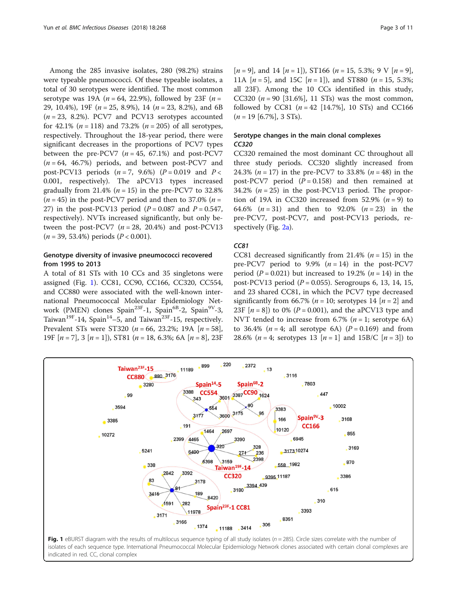Among the 285 invasive isolates, 280 (98.2%) strains were typeable pneumococci. Of these typeable isolates, a total of 30 serotypes were identified. The most common serotype was 19A ( $n = 64$ , 22.9%), followed by 23F ( $n =$ 29, 10.4%), 19F ( $n = 25$ , 8.9%), 14 ( $n = 23$ , 8.2%), and 6B  $(n = 23, 8.2\%)$ . PCV7 and PCV13 serotypes accounted for 42.1% ( $n = 118$ ) and 73.2% ( $n = 205$ ) of all serotypes, respectively. Throughout the 18-year period, there were significant decreases in the proportions of PCV7 types between the pre-PCV7  $(n = 45, 67.1%)$  and post-PCV7  $(n = 64, 46.7%)$  periods, and between post-PCV7 and post-PCV13 periods  $(n = 7, 9.6%)$   $(P = 0.019$  and  $P <$ 0.001, respectively). The aPCV13 types increased gradually from 21.4% ( $n = 15$ ) in the pre-PCV7 to 32.8%  $(n = 45)$  in the post-PCV7 period and then to 37.0%  $(n = 15)$ 27) in the post-PCV13 period  $(P = 0.087$  and  $P = 0.547$ , respectively). NVTs increased significantly, but only between the post-PCV7  $(n = 28, 20.4\%)$  and post-PCV13  $(n = 39, 53.4\%)$  periods  $(P < 0.001)$ .

# Genotype diversity of invasive pneumococci recovered from 1995 to 2013

A total of 81 STs with 10 CCs and 35 singletons were assigned (Fig. 1). CC81, CC90, CC166, CC320, CC554, and CC880 were associated with the well-known international Pneumococcal Molecular Epidemiology Network (PMEN) clones Spain<sup>23F</sup>-1, Spain<sup>6B</sup>-2, Spain<sup>9V</sup>-3, Taiwan<sup>19F</sup>-14, Spain<sup>14</sup>-5, and Taiwan<sup>23F</sup>-15, respectively. Prevalent STs were ST320 ( $n = 66$ , 23.2%; 19A [ $n = 58$ ], 19F  $[n = 7]$ , 3  $[n = 1]$ ), ST81  $(n = 18, 6.3\%; 6A \mid n = 8]$ , 23F  $[n = 9]$ , and 14  $[n = 1]$ ), ST166  $(n = 15, 5.3\%; 9 \text{ V } [n = 9]$ , 11A  $[n = 5]$ , and 15C  $[n = 1]$ , and ST880  $(n = 15, 5.3\%)$ ; all 23F). Among the 10 CCs identified in this study, CC320 ( $n = 90$  [31.6%], 11 STs) was the most common, followed by CC81 ( $n = 42$  [14.7%], 10 STs) and CC166  $(n = 19$  [6.7%], 3 STs).

# Serotype changes in the main clonal complexes CC320

CC320 CC320 remained the most dominant CC throughout all three study periods. CC320 slightly increased from 24.3% ( $n = 17$ ) in the pre-PCV7 to 33.8% ( $n = 48$ ) in the post-PCV7 period  $(P = 0.158)$  and then remained at 34.2%  $(n = 25)$  in the post-PCV13 period. The proportion of 19A in CC320 increased from 52.9%  $(n = 9)$  to 64.6%  $(n = 31)$  and then to 92.0%  $(n = 23)$  in the pre-PCV7, post-PCV7, and post-PCV13 periods, re-spectively (Fig. [2a](#page-3-0)).

CC81 decreased significantly from 21.4% ( $n = 15$ ) in the pre-PCV7 period to 9.9%  $(n = 14)$  in the post-PCV7 period ( $P = 0.021$ ) but increased to 19.2% ( $n = 14$ ) in the post-PCV13 period ( $P = 0.055$ ). Serogroups 6, 13, 14, 15, and 23 shared CC81, in which the PCV7 type decreased significantly from 66.7% ( $n = 10$ ; serotypes 14 [ $n = 2$ ] and 23F  $[n = 8]$ ) to 0% ( $P = 0.001$ ), and the aPCV13 type and NVT tended to increase from 6.7% ( $n = 1$ ; serotype 6A) to 36.4% ( $n = 4$ ; all serotype 6A) ( $P = 0.169$ ) and from 28.6% (*n* = 4; serotypes 13 [*n* = 1] and 15B/C [*n* = 3]) to



indicated in red. CC, clonal complex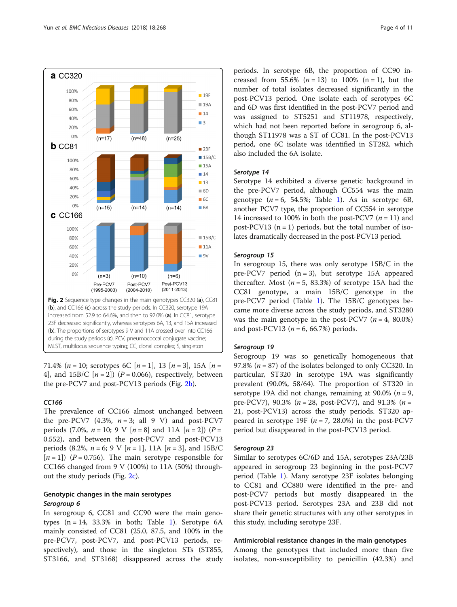<span id="page-3-0"></span>

71.4% (*n* = 10; serotypes 6C [*n* = 1], 13 [*n* = 3], 15A [*n* = 4], and  $15B/C$  [ $n = 2$ ]) ( $P = 0.066$ ), respectively, between the pre-PCV7 and post-PCV13 periods (Fig. 2b).

The prevalence of CC166 almost unchanged between the pre-PCV7  $(4.3\%, n=3; \text{ all } 9 \text{ V})$  and post-PCV7 periods (7.0%,  $n = 10$ ; 9 V  $[n = 8]$  and 11A  $[n = 2]$ ) ( $P =$ 0.552), and between the post-PCV7 and post-PCV13 periods (8.2%,  $n = 6$ ; 9 V  $[n = 1]$ , 11A  $[n = 3]$ , and 15B/C  $[n=1]$ ) (P = 0.756). The main serotype responsible for CC166 changed from 9 V (100%) to 11A (50%) throughout the study periods (Fig. 2c).

# Genotypic changes in the main serotypes

In serogroup 6, CC81 and CC90 were the main genotypes  $(n = 14, 33.3\%$  $(n = 14, 33.3\%$  $(n = 14, 33.3\%$  in both; Table 1). Serotype  $6A$ mainly consisted of CC81 (25.0, 87.5, and 100% in the pre-PCV7, post-PCV7, and post-PCV13 periods, respectively), and those in the singleton STs (ST855, ST3166, and ST3168) disappeared across the study periods. In serotype 6B, the proportion of CC90 increased from 55.6%  $(n = 13)$  to 100%  $(n = 1)$ , but the number of total isolates decreased significantly in the post-PCV13 period. One isolate each of serotypes 6C and 6D was first identified in the post-PCV7 period and was assigned to ST5251 and ST11978, respectively, which had not been reported before in serogroup 6, although ST11978 was a ST of CC81. In the post-PCV13 period, one 6C isolate was identified in ST282, which also included the 6A isolate.

Serotype 14 Serotype 14 exhibited a diverse genetic background in the pre-PCV7 period, although CC554 was the main genotype  $(n = 6, 54.5\%;$  Table [1\)](#page-4-0). As in serotype 6B, another PCV7 type, the proportion of CC554 in serotype 14 increased to 100% in both the post-PCV7  $(n = 11)$  and post-PCV13  $(n = 1)$  periods, but the total number of isolates dramatically decreased in the post-PCV13 period.

In serogroup 15, there was only serotype 15B/C in the pre-PCV7 period (n = 3), but serotype 15A appeared thereafter. Most ( $n = 5$ , 83.3%) of serotype 15A had the CC81 genotype, a main 15B/C genotype in the pre-PCV7 period (Table [1](#page-4-0)). The 15B/C genotypes became more diverse across the study periods, and ST3280 was the main genotype in the post-PCV7  $(n = 4, 80.0\%)$ and post-PCV13 ( $n = 6$ , 66.7%) periods.

Serogroup 19 Serogroup 19 was so genetically homogeneous that 97.8% ( $n = 87$ ) of the isolates belonged to only CC320. In particular, ST320 in serotype 19A was significantly prevalent (90.0%, 58/64). The proportion of ST320 in serotype 19A did not change, remaining at 90.0% ( $n = 9$ , pre-PCV7), 90.3% ( $n = 28$ , post-PCV7), and 91.3% ( $n =$ 21, post-PCV13) across the study periods. ST320 appeared in serotype 19F  $(n = 7, 28.0%)$  in the post-PCV7 period but disappeared in the post-PCV13 period.

Similar to serotypes 6C/6D and 15A, serotypes 23A/23B appeared in serogroup 23 beginning in the post-PCV7 period (Table [1\)](#page-4-0). Many serotype 23F isolates belonging to CC81 and CC880 were identified in the pre- and post-PCV7 periods but mostly disappeared in the post-PCV13 period. Serotypes 23A and 23B did not share their genetic structures with any other serotypes in this study, including serotype 23F.

# Antimicrobial resistance changes in the main genotypes

Among the genotypes that included more than five isolates, non-susceptibility to penicillin (42.3%) and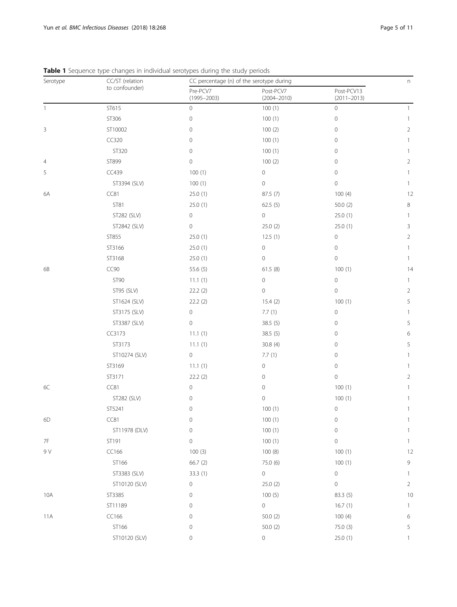| Serotype | CC/ST (relation | CC percentage (n) of the serotype during |                              |                               |                |  |  |
|----------|-----------------|------------------------------------------|------------------------------|-------------------------------|----------------|--|--|
|          | to confounder)  | Pre-PCV7<br>$(1995 - 2003)$              | Post-PCV7<br>$(2004 - 2010)$ | Post-PCV13<br>$(2011 - 2013)$ |                |  |  |
| 1        | ST615           | $\mathbf 0$                              | 100(1)                       | $\circ$                       | 1              |  |  |
|          | ST306           | $\mathbf 0$                              | 100(1)                       | $\mathbb O$                   | 1              |  |  |
| 3        | ST10002         | 0                                        | 100(2)                       | $\mathbf 0$                   | $\overline{2}$ |  |  |
|          | CC320           | $\mathbf 0$                              | 100(1)                       | $\mathbf 0$                   | 1              |  |  |
|          | ST320           | 0                                        | 100(1)                       | $\mathbf 0$                   | 1              |  |  |
| 4        | ST899           | 0                                        | 100(2)                       | $\mathbf 0$                   | $\overline{2}$ |  |  |
| 5        | CC439           | 100(1)                                   | $\mathsf{O}\xspace$          | $\circ$                       | 1              |  |  |
|          | ST3394 (SLV)    | 100(1)                                   | 0                            | $\circ$                       | 1              |  |  |
| 6A       | CC81            | 25.0(1)                                  | 87.5 (7)                     | 100(4)                        | 12             |  |  |
|          | ST81            | 25.0(1)                                  | 62.5(5)                      | 50.0(2)                       | 8              |  |  |
|          | ST282 (SLV)     | $\mathbf 0$                              | $\mathsf{O}\xspace$          | 25.0(1)                       | 1              |  |  |
|          | ST2842 (SLV)    | 0                                        | 25.0(2)                      | 25.0(1)                       | 3              |  |  |
|          | ST855           | 25.0(1)                                  | 12.5(1)                      | $\circ$                       | 2              |  |  |
|          | ST3166          | 25.0(1)                                  | 0                            | $\circ$                       | 1              |  |  |
|          | ST3168          | 25.0(1)                                  | $\mathsf{O}\xspace$          | $\mathbf 0$                   | 1              |  |  |
| 6B       | CC90            | 55.6 (5)                                 | 61.5(8)                      | 100(1)                        | 14             |  |  |
|          | <b>ST90</b>     | 11.1(1)                                  | $\mathsf{O}\xspace$          | $\circ$                       | 1              |  |  |
|          | ST95 (SLV)      | 22.2(2)                                  | $\mathsf{O}\xspace$          | 0                             | $\overline{2}$ |  |  |
|          | ST1624 (SLV)    | 22.2(2)                                  | 15.4(2)                      | 100(1)                        | 5              |  |  |
|          | ST3175 (SLV)    | $\mathsf{O}\xspace$                      | 7.7(1)                       | $\circ$                       | 1              |  |  |
|          | ST3387 (SLV)    | 0                                        | 38.5 (5)                     | 0                             | 5              |  |  |
|          | CC3173          | 11.1(1)                                  | 38.5(5)                      | 0                             | 6              |  |  |
|          | ST3173          | 11.1(1)                                  | 30.8(4)                      | 0                             | 5              |  |  |
|          | ST10274 (SLV)   | $\circ$                                  | 7.7(1)                       | 0                             | 1              |  |  |
|          | ST3169          | 11.1(1)                                  | $\mathbf 0$                  | $\circ$                       | 1              |  |  |
|          | ST3171          | 22.2(2)                                  | 0                            | $\mathbf 0$                   | 2              |  |  |
| $6C$     | CC81            | $\mathbf 0$                              | 0                            | 100(1)                        |                |  |  |
|          | ST282 (SLV)     | 0                                        | $\mathbf 0$                  | 100(1)                        | 1              |  |  |
|          | ST5241          | $\mathbf 0$                              | 100(1)                       | $\,0\,$                       | 1              |  |  |
| 6D       | CC81            | 0                                        | 100(1)                       | 0                             |                |  |  |
|          | ST11978 (DLV)   | $\mathbf 0$                              | 100(1)                       | $\circ$                       | 1              |  |  |
| 7F       | ST191           | $\mathbf 0$                              | 100(1)                       | $\mathbb O$                   | 1              |  |  |
| 9 V      | CC166           | 100(3)                                   | 100(8)                       | 100(1)                        | 12             |  |  |
|          | ST166           | 66.7(2)                                  | 75.0 (6)                     | 100(1)                        | 9              |  |  |
|          | ST3383 (SLV)    | 33.3(1)                                  | $\mathsf{O}\xspace$          | $\circ$                       | 1              |  |  |
|          | ST10120 (SLV)   | $\mathbf 0$                              | 25.0(2)                      | 0                             | $\overline{2}$ |  |  |
| 10A      | ST3385          | 0                                        | 100(5)                       | 83.3(5)                       | 10             |  |  |
|          | ST11189         | 0                                        | $\circ$                      | 16.7(1)                       | 1              |  |  |
| 11A      | CC166           | 0                                        | 50.0(2)                      | 100(4)                        | 6              |  |  |
|          | ST166           | 0                                        | 50.0(2)                      | 75.0 (3)                      | 5              |  |  |
|          | ST10120 (SLV)   | $\mathsf{O}\xspace$                      | $\mathsf{O}\xspace$          | 25.0(1)                       | 1              |  |  |

<span id="page-4-0"></span>Table 1 Sequence type changes in individual serotypes during the study periods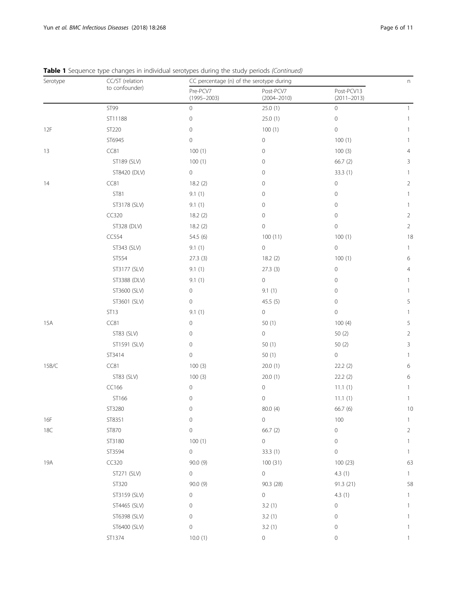| Serotype | CC/ST (relation | CC percentage (n) of the serotype during |                              |                               |                |  |
|----------|-----------------|------------------------------------------|------------------------------|-------------------------------|----------------|--|
|          | to confounder)  | Pre-PCV7<br>$(1995 - 2003)$              | Post-PCV7<br>$(2004 - 2010)$ | Post-PCV13<br>$(2011 - 2013)$ |                |  |
|          | ST99            | $\mathbf 0$                              | 25.0(1)                      | $\circ$                       | 1              |  |
|          | ST11188         | 0                                        | 25.0(1)                      | $\mathbf 0$                   | 1              |  |
| 12F      | ST220           | 0                                        | 100(1)                       | $\mathbf 0$                   | 1              |  |
|          | ST6945          | 0                                        | $\circ$                      | 100(1)                        | 1              |  |
| 13       | CC81            | 100(1)                                   | 0                            | 100(3)                        | 4              |  |
|          | ST189 (SLV)     | 100(1)                                   | 0                            | 66.7(2)                       | 3              |  |
|          | ST8420 (DLV)    | 0                                        | $\mathbf 0$                  | 33.3(1)                       | 1              |  |
| 14       | CC81            | 18.2(2)                                  | $\mathbf 0$                  | $\,0\,$                       | $\overline{2}$ |  |
|          | <b>ST81</b>     | 9.1(1)                                   | $\mathbf 0$                  | 0                             | 1              |  |
|          | ST3178 (SLV)    | 9.1(1)                                   | 0                            | $\mathbf 0$                   | 1              |  |
|          | CC320           | 18.2(2)                                  | 0                            | 0                             | 2              |  |
|          | ST328 (DLV)     | 18.2(2)                                  | $\mathbf 0$                  | $\mathbf 0$                   | $\overline{2}$ |  |
|          | CC554           | 54.5(6)                                  | 100(11)                      | 100(1)                        | 18             |  |
|          | ST343 (SLV)     | 9.1(1)                                   | $\mathsf{O}\xspace$          | $\circ$                       | $\mathbf{1}$   |  |
|          | ST554           | 27.3(3)                                  | 18.2(2)                      | 100(1)                        | 6              |  |
|          | ST3177 (SLV)    | 9.1(1)                                   | 27.3(3)                      | $\mathbf 0$                   | 4              |  |
|          | ST3388 (DLV)    | 9.1(1)                                   | $\mathsf{O}\xspace$          | 0                             | 1              |  |
|          | ST3600 (SLV)    | 0                                        | 9.1(1)                       | 0                             | 1              |  |
|          | ST3601 (SLV)    | $\mathbf 0$                              | 45.5(5)                      | $\mathbf 0$                   | 5              |  |
|          | ST13            | 9.1(1)                                   | $\mathsf{O}\xspace$          | $\circ$                       | 1              |  |
| 15A      | CC81            | 0                                        | 50(1)                        | 100(4)                        | 5              |  |
|          | ST83 (SLV)      | 0                                        | $\mathbf 0$                  | 50(2)                         | 2              |  |
|          | ST1591 (SLV)    | 0                                        | 50(1)                        | 50 (2)                        | 3              |  |
|          | ST3414          | 0                                        | 50(1)                        | $\circ$                       | 1              |  |
| 15B/C    | CC81            | 100(3)                                   | 20.0(1)                      | 22.2(2)                       | 6              |  |
|          | ST83 (SLV)      | 100(3)                                   | 20.0(1)                      | 22.2(2)                       | 6              |  |
|          | CC166           | 0                                        | $\mathsf{O}\xspace$          | 11.1(1)                       | 1              |  |
|          | ST166           | 0                                        | 0                            | 11.1(1)                       | 1              |  |
|          | ST3280          | 0                                        | 80.0 (4)                     | 66.7 (6)                      | 10             |  |
| 16F      | ST8351          | $\mathsf{O}\xspace$                      | $\mathsf{O}\xspace$          | 100                           | 1              |  |
| 18C      | ST870           | 0                                        | 66.7(2)                      | $\,0\,$                       | 2              |  |
|          | ST3180          | 100(1)                                   | $\circ$                      | $\circ$                       | 1              |  |
|          | ST3594          | 0                                        | 33.3 (1)                     | $\circ$                       | 1              |  |
| 19A      | CC320           | 90.0 (9)                                 | 100 (31)                     | 100(23)                       | 63             |  |
|          | ST271 (SLV)     | 0                                        | $\circ$                      | 4.3(1)                        | 1              |  |
|          | ST320           | 90.0(9)                                  | 90.3 (28)                    | 91.3 (21)                     | 58             |  |
|          | ST3159 (SLV)    | 0                                        | $\circ$                      | 4.3(1)                        | 1              |  |
|          | ST4465 (SLV)    | 0                                        | 3.2(1)                       | 0                             | -1             |  |
|          | ST6398 (SLV)    | 0                                        | 3.2(1)                       | 0                             |                |  |
|          | ST6400 (SLV)    | 0                                        | 3.2(1)                       | 0                             | 1              |  |
|          | ST1374          | 10.0(1)                                  | $\mathsf{O}\xspace$          | 0                             | 1              |  |

Table 1 Sequence type changes in individual serotypes during the study periods (Continued)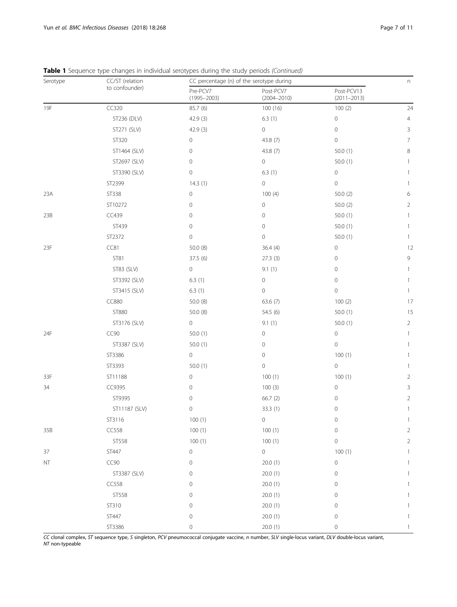| Serotype | CC/ST (relation |                             | adi belbej pes dalilig elle sedaj pellods (collenaca)<br>CC percentage (n) of the serotype during |                               |                |  |  |
|----------|-----------------|-----------------------------|---------------------------------------------------------------------------------------------------|-------------------------------|----------------|--|--|
|          | to confounder)  | Pre-PCV7<br>$(1995 - 2003)$ | Post-PCV7<br>$(2004 - 2010)$                                                                      | Post-PCV13<br>$(2011 - 2013)$ |                |  |  |
| 19F      | CC320           | 85.7 (6)                    | 100 (16)                                                                                          | 100(2)                        | 24             |  |  |
|          | ST236 (DLV)     | 42.9(3)                     | 6.3(1)                                                                                            | 0                             | $\overline{4}$ |  |  |
|          | ST271 (SLV)     | 42.9 (3)                    | $\mathsf{O}\xspace$                                                                               | $\mathbf 0$                   | 3              |  |  |
|          | ST320           | 0                           | 43.8 (7)                                                                                          | $\mathbb O$                   | $\overline{7}$ |  |  |
|          | ST1464 (SLV)    | 0                           | 43.8 (7)                                                                                          | 50.0(1)                       | 8              |  |  |
|          | ST2697 (SLV)    | 0                           | $\mathsf{O}\xspace$                                                                               | 50.0(1)                       | 1              |  |  |
|          | ST3390 (SLV)    | 0                           | 6.3(1)                                                                                            | $\circ$                       | 1              |  |  |
|          | ST2399          | 14.3(1)                     | 0                                                                                                 | $\circ$                       | 1              |  |  |
| 23A      | ST338           | 0                           | 100(4)                                                                                            | 50.0(2)                       | 6              |  |  |
|          | ST10272         | 0                           | $\mathsf{O}\xspace$<br>50.0(2)                                                                    |                               | $\overline{2}$ |  |  |
| 23B      | CC439           | 0                           | 0                                                                                                 | 50.0(1)                       | 1              |  |  |
|          | ST439           | 0                           | 0                                                                                                 | 50.0(1)                       | $\mathbf{1}$   |  |  |
|          | ST2372          | 0                           | $\mathbf 0$                                                                                       | 50.0(1)                       | 1              |  |  |
| 23F      | CC81            | 50.0 (8)                    | 36.4(4)                                                                                           | $\circ$                       | 12             |  |  |
|          | <b>ST81</b>     | 37.5(6)                     | 27.3(3)                                                                                           | 0                             | 9              |  |  |
|          | ST83 (SLV)      | $\circ$                     | 9.1(1)                                                                                            | $\mathbb O$                   | $\mathbf{1}$   |  |  |
|          | ST3392 (SLV)    | 6.3(1)                      | $\mathsf{O}\xspace$                                                                               | $\mathbb O$                   | $\mathbf{1}$   |  |  |
|          | ST3415 (SLV)    | 6.3(1)                      | 0                                                                                                 | $\mathbf 0$                   | 1              |  |  |
|          | CC880           | 50.0 (8)                    | 63.6(7)                                                                                           | 100(2)                        | 17             |  |  |
|          | ST880           | 50.0(8)                     | 54.5 (6)                                                                                          | 50.0(1)                       | 15             |  |  |
|          | ST3176 (SLV)    | 0                           | 9.1(1)                                                                                            | 50.0(1)                       | 2              |  |  |
| 24F      | CC90            | 50.0(1)                     | $\mathsf{O}\xspace$                                                                               | $\circ$                       | $\mathbf{1}$   |  |  |
|          | ST3387 (SLV)    | 50.0(1)                     | 0                                                                                                 | $\circ$                       | 1              |  |  |
|          | ST3386          | $\circ$                     | 0                                                                                                 | 100(1)                        | $\mathbf{1}$   |  |  |
|          | ST3393          | 50.0(1)                     | $\mathsf{O}\xspace$                                                                               | $\mathsf{O}\xspace$           | 1              |  |  |
| 33F      | ST11188         | 0                           | 100(1)                                                                                            | 100(1)                        | 2              |  |  |
| 34       | CC9395          | 0                           | 100(3)                                                                                            | $\mathbb O$                   | 3              |  |  |
|          | ST9395          | 0                           | 66.7(2)                                                                                           | 0                             | 2              |  |  |
|          | ST11187 (SLV)   | 0                           | 33.3(1)                                                                                           | $\mathbf 0$                   | $\mathbf{1}$   |  |  |
|          | ST3116          | 100(1)                      | 0                                                                                                 | 0                             |                |  |  |
| 35B      | CC558           | 100(1)                      | 100(1)                                                                                            | $\mathbf 0$                   | $\overline{2}$ |  |  |
|          | ST558           | 100(1)                      | 100(1)                                                                                            | $\mathsf{O}\xspace$           | $\overline{2}$ |  |  |
| 37       | ST447           | 0                           | $\mathsf{O}\xspace$                                                                               | 100(1)                        |                |  |  |
| NT       | CC90            | 0                           | 20.0(1)                                                                                           | $\mathsf{O}\xspace$           | 1              |  |  |
|          | ST3387 (SLV)    | 0                           | 20.0(1)                                                                                           | $\mathbf 0$                   | 1              |  |  |
|          | CC558           | 0                           | 20.0(1)                                                                                           | 0                             | 1              |  |  |
|          | ST558           | 0                           | 20.0(1)                                                                                           | 0                             | 1              |  |  |
|          | ST310           | 0                           | 20.0(1)                                                                                           | 0                             | 1              |  |  |
|          | ST447           | 0                           | 20.0(1)                                                                                           | 0                             | 1              |  |  |
|          | ST3386          | 0                           | 20.0(1)                                                                                           | $\mathbf 0$                   | 1              |  |  |

Table 1 Sequence type changes in individual serotypes during the study periods (Continued)

CC clonal complex, ST sequence type, S singleton, PCV pneumococcal conjugate vaccine, n number, SLV single-locus variant, DLV double-locus variant, NT non-typeable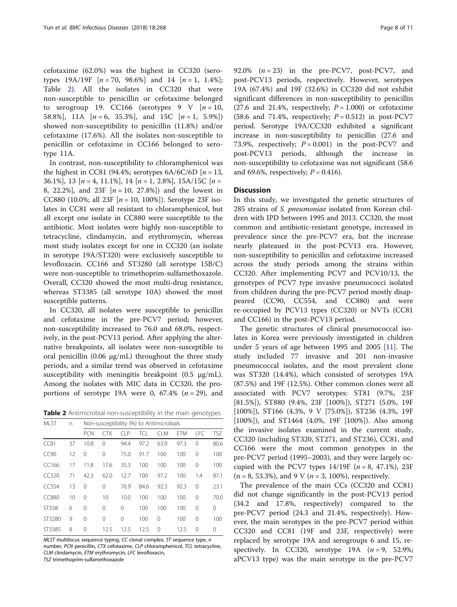cefotaxime (62.0%) was the highest in CC320 (serotypes  $19A/19F$  [ $n = 70$ ,  $98.6\%$ ] and  $14$  [ $n = 1$ ,  $1.4\%$ ]; Table 2). All the isolates in CC320 that were non-susceptible to penicillin or cefotaxime belonged to serogroup 19. CC166 (serotypes 9 V  $[n=10,$ 58.8%], 11A  $[n = 6, 35.3\%]$ , and 15C  $[n = 1, 5.9\%]$ showed non-susceptibility to penicillin (11.8%) and/or cefotaxime (17.6%). All the isolates non-susceptible to penicillin or cefotaxime in CC166 belonged to serotype 11A.

In contrast, non-susceptibility to chloramphenicol was the highest in CC81 (94.4%; serotypes  $6A/6C/6D$  [ $n = 13$ , 36.1%], 13  $[n = 4, 11.1\%]$ , 14  $[n = 1, 2.8\%]$ , 15A/15C  $[n =$ 8, 22.2%], and 23F  $[n = 10, 27.8\%]$  and the lowest in CC880 (10.0%; all 23F  $[n = 10, 100\%]$ ). Serotype 23F isolates in CC81 were all resistant to chloramphenicol, but all except one isolate in CC880 were susceptible to the antibiotic. Most isolates were highly non-susceptible to tetracycline, clindamycin, and erythromycin, whereas most study isolates except for one in CC320 (an isolate in serotype 19A/ST320) were exclusively susceptible to levofloxacin. CC166 and ST3280 (all serotype 15B/C) were non-susceptible to trimethoprim-sulfamethoxazole. Overall, CC320 showed the most multi-drug resistance, whereas ST3385 (all serotype 10A) showed the most susceptible patterns.

In CC320, all isolates were susceptible to penicillin and cefotaxime in the pre-PCV7 period; however, non-susceptibility increased to 76.0 and 68.0%, respectively, in the post-PCV13 period. After applying the alternative breakpoints, all isolates were non-susceptible to oral penicillin (0.06 μg/mL) throughout the three study periods, and a similar trend was observed in cefotaxime susceptibility with meningitis breakpoint (0.5 μg/mL). Among the isolates with MIC data in CC320, the proportions of serotype 19A were 0, 67.4%  $(n = 29)$ , and

Table 2 Antimicrobial non-susceptibility in the main genotypes

| <b>MLST</b>  | n  | Non-susceptibility (%) to Antimicrobials |          |          |      |            |            |            |            |
|--------------|----|------------------------------------------|----------|----------|------|------------|------------|------------|------------|
|              |    | <b>PCN</b>                               | СTX      | CIP      | TCL  | <b>CLM</b> | <b>FTM</b> | <b>LFC</b> | <b>TSZ</b> |
| CC81         | 37 | 10.8                                     | $\Omega$ | 94.4     | 97.2 | 63.9       | 97.3       | $\Omega$   | 80.6       |
| CC90         | 12 | 0                                        | $\Omega$ | 75.0     | 91.7 | 100        | 100        | $\Omega$   | 100        |
| CC166        | 17 | 11.8                                     | 17.6     | 35.3     | 100  | 100        | 100        | $\Omega$   | 100        |
| CC320        | 71 | 42.3                                     | 62.0     | 12.7     | 100  | 97.2       | 100        | 1.4        | 87.1       |
| CC554        | 13 | $\Omega$                                 | $\Omega$ | 76.9     | 84.6 | 92.3       | 92.3       | $\Omega$   | 23.1       |
| <b>CC880</b> | 10 | 0                                        | 10       | 10.0     | 100  | 100        | 100        | $\Omega$   | 70.0       |
| ST338        | 6  | $\Omega$                                 | $\Omega$ | $\Omega$ | 100  | 100        | 100        | $\Omega$   | 0          |
| ST3280       | 9  | $\Omega$                                 | $\Omega$ | 0        | 100  | $\Omega$   | 100        | $\Omega$   | 100        |
| ST3385       | 8  | 0                                        | 12.5     | 12.5     | 12.5 | $\Omega$   | 12.5       | $\Omega$   | 0          |

MLST multilocus sequence typing, CC clonal complex, ST sequence type, n number, PCN penicillin, CTX cefotaxime, CLP chloramphenicol, TCL tetracycline, CLM clindamycin, ETM erythromycin, LFC levofloxacin,

TSZ trimethoprim-sulfamethoxazole

92.0%  $(n = 23)$  in the pre-PCV7, post-PCV7, and post-PCV13 periods, respectively. However, serotypes 19A (67.4%) and 19F (32.6%) in CC320 did not exhibit significant differences in non-susceptibility to penicillin (27.6 and 21.4%, respectively;  $P = 1.000$ ) or cefotaxime (58.6 and 71.4%, respectively;  $P = 0.512$ ) in post-PCV7 period. Serotype 19A/CC320 exhibited a significant increase in non-susceptibility to penicillin (27.6 and 73.9%, respectively;  $P = 0.001$ ) in the post-PCV7 and post-PCV13 periods, although the increase in non-susceptibility to cefotaxime was not significant (58.6 and 69.6%, respectively;  $P = 0.416$ .

# **Discussion**

In this study, we investigated the genetic structures of 285 strains of S. pneumoniae isolated from Korean children with IPD between 1995 and 2013. CC320, the most common and antibiotic-resistant genotype, increased in prevalence since the pre-PCV7 era, but the increase nearly plateaued in the post-PCV13 era. However, non-susceptibility to penicillin and cefotaxime increased across the study periods among the strains within CC320. After implementing PCV7 and PCV10/13, the genotypes of PCV7 type invasive pneumococci isolated from children during the pre-PCV7 period mostly disappeared (CC90, CC554, and CC880) and were re-occupied by PCV13 types (CC320) or NVTs (CC81 and CC166) in the post-PCV13 period.

The genetic structures of clinical pneumococcal isolates in Korea were previously investigated in children under 5 years of age between 1995 and 2005  $[11]$  $[11]$ . The study included 77 invasive and 201 non-invasive pneumococcal isolates, and the most prevalent clone was ST320 (14.4%), which consisted of serotypes 19A (87.5%) and 19F (12.5%). Other common clones were all associated with PCV7 serotypes: ST81 (9.7%, 23F [81.5%]), ST880 (9.4%, 23F [100%]), ST271 (5.0%, 19F [100%]), ST166 (4.3%, 9 V [75.0%]), ST236 (4.3%, 19F [100%]), and ST1464 (4.0%, 19F [100%]). Also among the invasive isolates examined in the current study, CC320 (including ST320, ST271, and ST236), CC81, and CC166 were the most common genotypes in the pre-PCV7 period (1995–2003), and they were largely occupied with the PCV7 types  $14/19F$  ( $n = 8, 47.1\%$ ), 23F  $(n = 8, 53.3\%)$ , and 9 V ( $n = 3, 100\%)$ , respectively.

The prevalence of the main CCs (CC320 and CC81) did not change significantly in the post-PCV13 period (34.2 and 17.8%, respectively) compared to the pre-PCV7 period (24.3 and 21.4%, respectively). However, the main serotypes in the pre-PCV7 period within CC320 and CC81 (19F and 23F, respectively) were replaced by serotype 19A and serogroups 6 and 15, respectively. In CC320, serotype  $19A$   $(n = 9, 52.9\%;$ aPCV13 type) was the main serotype in the pre-PCV7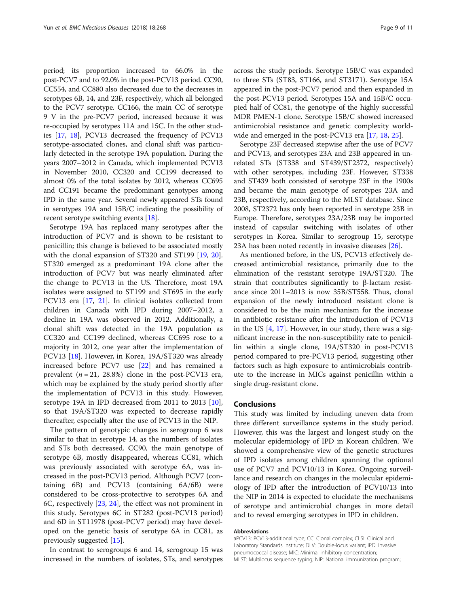period; its proportion increased to 66.0% in the post-PCV7 and to 92.0% in the post-PCV13 period. CC90, CC554, and CC880 also decreased due to the decreases in serotypes 6B, 14, and 23F, respectively, which all belonged to the PCV7 serotype. CC166, the main CC of serotype 9 V in the pre-PCV7 period, increased because it was re-occupied by serotypes 11A and 15C. In the other studies [[17,](#page-9-0) [18\]](#page-9-0), PCV13 decreased the frequency of PCV13 serotype-associated clones, and clonal shift was particularly detected in the serotype 19A population. During the years 2007–2012 in Canada, which implemented PCV13 in November 2010, CC320 and CC199 decreased to almost 0% of the total isolates by 2012, whereas CC695 and CC191 became the predominant genotypes among IPD in the same year. Several newly appeared STs found in serotypes 19A and 15B/C indicating the possibility of recent serotype switching events [\[18\]](#page-9-0).

Serotype 19A has replaced many serotypes after the introduction of PCV7 and is shown to be resistant to penicillin; this change is believed to be associated mostly with the clonal expansion of ST320 and ST199 [[19,](#page-10-0) [20](#page-10-0)]. ST320 emerged as a predominant 19A clone after the introduction of PCV7 but was nearly eliminated after the change to PCV13 in the US. Therefore, most 19A isolates were assigned to ST199 and ST695 in the early PCV13 era [\[17,](#page-9-0) [21\]](#page-10-0). In clinical isolates collected from children in Canada with IPD during 2007–2012, a decline in 19A was observed in 2012. Additionally, a clonal shift was detected in the 19A population as CC320 and CC199 declined, whereas CC695 rose to a majority in 2012, one year after the implementation of PCV13 [\[18](#page-9-0)]. However, in Korea, 19A/ST320 was already increased before PCV7 use [[22\]](#page-10-0) and has remained a prevalent  $(n = 21, 28.8%)$  clone in the post-PCV13 era, which may be explained by the study period shortly after the implementation of PCV13 in this study. However, serotype 19A in IPD decreased from 2011 to 2013 [\[10](#page-9-0)], so that 19A/ST320 was expected to decrease rapidly thereafter, especially after the use of PCV13 in the NIP.

The pattern of genotypic changes in serogroup 6 was similar to that in serotype 14, as the numbers of isolates and STs both decreased. CC90, the main genotype of serotype 6B, mostly disappeared, whereas CC81, which was previously associated with serotype 6A, was increased in the post-PCV13 period. Although PCV7 (containing 6B) and PCV13 (containing 6A/6B) were considered to be cross-protective to serotypes 6A and 6C, respectively [\[23](#page-10-0), [24](#page-10-0)], the effect was not prominent in this study. Serotypes 6C in ST282 (post-PCV13 period) and 6D in ST11978 (post-PCV7 period) may have developed on the genetic basis of serotype 6A in CC81, as previously suggested [[15\]](#page-9-0).

In contrast to serogroups 6 and 14, serogroup 15 was increased in the numbers of isolates, STs, and serotypes across the study periods. Serotype 15B/C was expanded to three STs (ST83, ST166, and ST3171). Serotype 15A appeared in the post-PCV7 period and then expanded in the post-PCV13 period. Serotypes 15A and 15B/C occupied half of CC81, the genotype of the highly successful MDR PMEN-1 clone. Serotype 15B/C showed increased antimicrobial resistance and genetic complexity worldwide and emerged in the post-PCV13 era [[17](#page-9-0), [18](#page-9-0), [25](#page-10-0)].

Serotype 23F decreased stepwise after the use of PCV7 and PCV13, and serotypes 23A and 23B appeared in unrelated STs (ST338 and ST439/ST2372, respectively) with other serotypes, including 23F. However, ST338 and ST439 both consisted of serotype 23F in the 1900s and became the main genotype of serotypes 23A and 23B, respectively, according to the MLST database. Since 2008, ST2372 has only been reported in serotype 23B in Europe. Therefore, serotypes 23A/23B may be imported instead of capsular switching with isolates of other serotypes in Korea. Similar to serogroup 15, serotype 23A has been noted recently in invasive diseases [[26](#page-10-0)].

As mentioned before, in the US, PCV13 effectively decreased antimicrobial resistance, primarily due to the elimination of the resistant serotype 19A/ST320. The strain that contributes significantly to β-lactam resistance since 2011–2013 is now 35B/ST558. Thus, clonal expansion of the newly introduced resistant clone is considered to be the main mechanism for the increase in antibiotic resistance after the introduction of PCV13 in the US  $[4, 17]$  $[4, 17]$  $[4, 17]$  $[4, 17]$ . However, in our study, there was a significant increase in the non-susceptibility rate to penicillin within a single clone, 19A/ST320 in post-PCV13 period compared to pre-PCV13 period, suggesting other factors such as high exposure to antimicrobials contribute to the increase in MICs against penicillin within a single drug-resistant clone.

## Conclusions

This study was limited by including uneven data from three different surveillance systems in the study period. However, this was the largest and longest study on the molecular epidemiology of IPD in Korean children. We showed a comprehensive view of the genetic structures of IPD isolates among children spanning the optional use of PCV7 and PCV10/13 in Korea. Ongoing surveillance and research on changes in the molecular epidemiology of IPD after the introduction of PCV10/13 into the NIP in 2014 is expected to elucidate the mechanisms of serotype and antimicrobial changes in more detail and to reveal emerging serotypes in IPD in children.

### Abbreviations

aPCV13: PCV13-additional type; CC: Clonal complex; CLSI: Clinical and Laboratory Standards Institute; DLV: Double-locus variant; IPD: Invasive pneumococcal disease; MIC: Minimal inhibitory concentration; MLST: Multilocus sequence typing; NIP: National immunization program;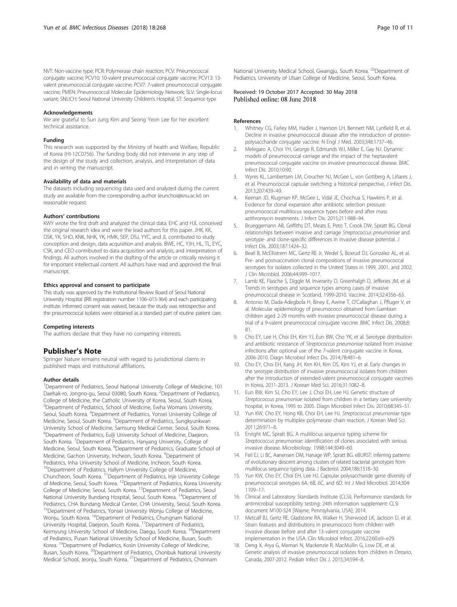<span id="page-9-0"></span>NVT: Non-vaccine type; PCR: Polymerase chain reaction; PCV: Pneumococcal conjugate vaccine; PCV10: 10-valent pneumococcal conjugate vaccine; PCV13: 13 valent pneumococcal conjugate vaccine; PCV7: 7-valent pneumococcal conjugate vaccine; PMEN: Pneumococcal Molecular Epidemiology Network; SLV: Single-locus variant; SNUCH: Seoul National University Children's Hospital; ST: Sequence type

### Acknowledgements

We are grateful to Sun Jung Kim and Seong Yeon Lee for her excellent technical assistance.

### Funding

This research was supported by the Ministry of health and Welfare, Republic of Korea (HI-12C0756). The funding body did not intervene in any step of the design of the study and collection, analysis, and interpretation of data and in writing the manuscript.

### Availability of data and materials

The datasets including sequencing data used and analyzed during the current study are available from the corresponding author (eunchoi@snu.ac.kr) on reasonable request.

### Authors' contributions

KWY wrote the first draft and analyzed the clinical data. EHC and HJL conceived the original research idea and were the lead authors for this paper. JHK, KK, DSK, YK, SHO, KNK, NHK, YK, HMK, SEP, DSJ, YYC, and JL contributed to study conception and design, data acquisition and analysis. BWE, HC, YJH, HL, TL, EYC, CSK, and CEO contributed to data acquisition and analysis, and interpretation of findings. All authors involved in the drafting of the article or critically revising it for important intellectual content. All authors have read and approved the final manuscript.

### Ethics approval and consent to participate

This study was approved by the Institutional Review Board of Seoul National University Hospital (IRB registration number 1106–015-364) and each participating institute. Informed consent was waived, because the study was retrospective and the pneumococcal isolates were obtained as a standard part of routine patient care.

### Competing interests

The authors declare that they have no competing interests.

## Publisher's Note

Springer Nature remains neutral with regard to jurisdictional claims in published maps and institutional affiliations.

### Author details

<sup>1</sup>Department of Pediatrics, Seoul National University College of Medicine, 101 Daehak-ro, Jongno-gu, Seoul 03080, South Korea. <sup>2</sup>Department of Pediatrics, College of Medicine, the Catholic University of Korea, Seoul, South Korea. <sup>3</sup>Department of Pediatrics, School of Medicine, Ewha Womans University, Seoul, South Korea. <sup>4</sup>Department of Pediatrics, Yonsei University College of Medicine, Seoul, South Korea. <sup>5</sup>Department of Pediatrics, Sungkyunkwan University School of Medicine, Samsung Medical Center, Seoul, South Korea. 6 Department of Pediatrics, Eulji University School of Medicine, Daejeon, South Korea. <sup>7</sup> Department of Pediatrics, Hanyang University, College of Medicine, Seoul, South Korea. <sup>8</sup>Department of Pediatrics, Graduate School of Medicine, Gachon University, Incheon, South Korea. <sup>9</sup>Department of Pediatrics, Inha University School of Medicine, Incheon, South Korea. <sup>10</sup>Department of Pediatrics, Hallym University College of Medicine, Chuncheon, South Korea. 11Department of Pediatrics, Inje University College of Medicine, Seoul, South Korea. <sup>12</sup>Department of Pediatrics, Korea University College of Medicine, Seoul, South Korea. <sup>13</sup>Department of Pediatrics, Seoul National University Bundang Hospital, Seoul, South Korea. <sup>14</sup>Department of Pediatrics, CHA Bundang Medical Center, CHA University, Seoul, South Korea. <sup>15</sup>Department of Pediatrics, Yonsei University Wonju College of Medicine, Wonju, South Korea. <sup>16</sup>Department of Pediatrics, Chungnam National University Hospital, Daejeon, South Korea. 17Department of Pediatrics, Keimyung University School of Medicine, Daegu, South Korea. <sup>18</sup>Department of Pediatrics, Pusan National University School of Medicine, Busan, South Korea. <sup>19</sup>Department of Pediatrics, Kosin University College of Medicine, Busan, South Korea. <sup>20</sup>Department of Pediatrics, Chonbuk National University Medical School, Jeonju, South Korea. 21Department of Pediatrics, Chonnam

National University Medical School, Gwangju, South Korea. <sup>22</sup>Department of Pediatrics, University of Ulsan College of Medicine, Seoul, South Korea.

# Received: 19 October 2017 Accepted: 30 May 2018 Published online: 08 June 2018

# References

- Whitney CG, Farley MM, Hadler J, Harrison LH, Bennett NM, Lynfield R, et al. Decline in invasive pneumococcal disease after the introduction of proteinpolysaccharide conjugate vaccine. N Engl J Med. 2003;348:1737–46.
- 2. Melegaro A, Choi YH, George R, Edmunds WJ, Miller E, Gay NJ. Dynamic models of pneumococcal carriage and the impact of the heptavalent pneumococcal conjugate vaccine on invasive pneumococcal disease. BMC Infect Dis. 2010;10:90.
- 3. Wyres KL, Lambertsen LM, Croucher NJ, McGee L, von Gottberg A, Liñares J, et al. Pneumococcal capsular switching: a historical perspective. J Infect Dis. 2013;207:439–49.
- 4. Keenan JD, Klugman KP, McGee L, Vidal JE, Chochua S, Hawkins P, et al. Evidence for clonal expansion after antibiotic selection pressure: pneumococcal multilocus sequence types before and after mass azithromycin treatments. J Infect Dis. 2015;211:988–94.
- 5. Brueggemann AB, Griffiths DT, Meats E, Peto T, Crook DW, Spratt BG. Clonal relationships between invasive and carriage Streptococcus pneumoniae and serotype- and clone-specific differences in invasive disease potential. J Infect Dis. 2003;187:1424–32.
- 6. Beall B, McEllistrem MC, Gertz RE Jr, Wedel S, Boxrud DJ, Gonzalez AL, et al. Pre- and postvaccination clonal compositions of invasive pneumococcal serotypes for isolates collected in the United States in 1999, 2001, and 2002. J Clin Microbiol. 2006;44:999–1017.
- 7. Lamb KE, Flasche S, Diggle M, Inverarity D, Greenhalgh D, Jefferies JM, et al. Trends in serotypes and sequence types among cases of invasive pneumococcal disease in Scotland, 1999-2010. Vaccine. 2014;32:4356–63.
- 8. Antonio M, Dada-Adegbola H, Biney E, Awine T, O'Callaghan J, Pfluger V, et al. Molecular epidemiology of pneumococci obtained from Gambian children aged 2-29 months with invasive pneumococcal disease during a trial of a 9-valent pneumococcal conjugate vaccine. BMC Infect Dis. 2008;8: 81.
- 9. Cho EY, Lee H, Choi EH, Kim YJ, Eun BW, Cho YK, et al. Serotype distribution and antibiotic resistance of Streptococcus pneumoniae isolated from invasive infections after optional use of the 7-valent conjugate vaccine in Korea, 2006-2010. Diagn Microbiol Infect Dis. 2014;78:481–6.
- 10. Cho EY, Choi EH, Kang JH, Kim KH, Kim DS, Kim YJ, et al. Early changes in the serotype distribution of invasive pneumococcal isolates from children after the introduction of extended-valent pneumococcal conjugate vaccines in Korea, 2011-2013. J Korean Med Sci. 2016;31:1082–8.
- 11. Eun BW, Kim SJ, Cho EY, Lee J, Choi EH, Lee HJ. Genetic structure of Streptococcus pneumoniae isolated from children in a tertiary care university hospital, in Korea, 1995 to 2005. Diagn Microbiol Infect Dis. 2010;68:345–51.
- 12. Yun KW, Cho EY, Hong KB, Choi EH, Lee HJ. Streptococcus pneumoniae type determination by multiplex polymerase chain reaction. J Korean Med Sci. 2011;26:971–8.
- 13. Enright MC, Spratt BG. A multilocus sequence typing scheme for Streptococcus pneumoniae: identification of clones associated with serious invasive disease. Microbiology. 1998;144:3049–60.
- 14. Feil EJ, Li BC, Aanensen DM, Hanage WP, Spratt BG. eBURST: inferring patterns of evolutionary descent among clusters of related bacterial genotypes from multilocus sequence typing data. J Bacteriol. 2004;186:1518–30.
- 15. Yun KW, Cho EY, Choi EH, Lee HJ. Capsular polysaccharide gene diversity of pneumococcal serotypes 6A, 6B, 6C, and 6D. Int J Med Microbiol. 2014;304: 1109–17.
- 16. Clinical and Laboratory Standards Institute (CLSI). Performance standards for antimicrobial susceptibility testing: 24th information supplement: CLSI document M100-S24 [Wayne, Pennsylvania, USA]; 2014.
- 17. Metcalf BJ, Gertz RE, Gladstone RA, Walker H, Sherwood LK, Jackson D, et al. Strain features and distributions in pneumococci from children with invasive disease before and after 13-valent conjugate vaccine implementation in the USA. Clin Microbiol Infect. 2016;22:60.e9–e29.
- 18. Deng X, Arya G, Memari N, Mackenzie R, MacMullin G, Low DE, et al. Genetic analysis of invasive pneumococcal isolates from children in Ontario, Canada, 2007-2012. Pediatr Infect Dis J. 2015;34:594–8.